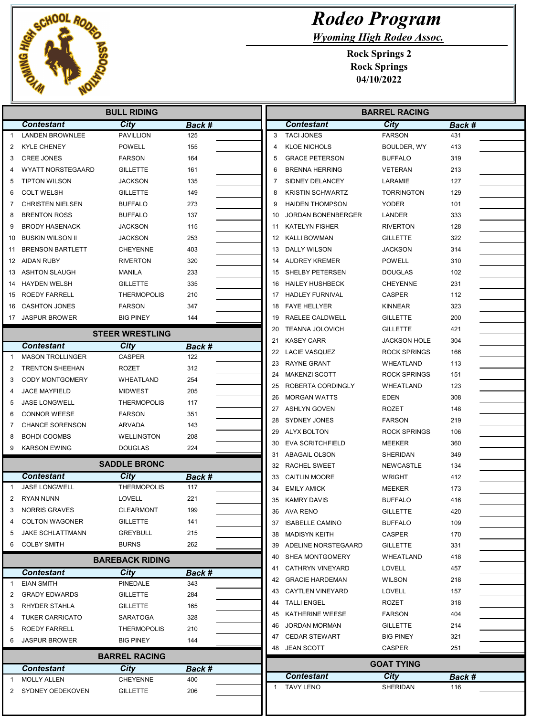

## Rodeo Program

Wyoming High Rodeo Assoc.

| <b>BULL RIDING</b> |                                         |                         |                      |
|--------------------|-----------------------------------------|-------------------------|----------------------|
|                    | <b>Contestant</b>                       | City                    | Back #               |
|                    | <b>LANDEN BROWNLEE</b>                  | <b>PAVILLION</b>        | 125                  |
| 2                  | <b>KYLE CHENEY</b>                      | <b>POWELL</b>           | 155                  |
| 3                  | <b>CREE JONES</b>                       | <b>FARSON</b>           | 164                  |
|                    | <b>WYATT NORSTEGAARD</b>                | <b>GILLETTE</b>         | 161                  |
| 5                  | <b>TIPTON WILSON</b>                    | JACKSON                 | 135                  |
| 6                  | <b>COLT WELSH</b>                       | <b>GILLETTE</b>         | 149                  |
| 7                  | <b>CHRISTEN NIELSEN</b>                 | <b>BUFFALO</b>          | 273                  |
| 8                  | <b>BRENTON ROSS</b>                     | <b>BUFFALO</b>          | 137                  |
| 9                  | <b>BRODY HASENACK</b>                   | JACKSON                 | 115                  |
| 10                 | <b>BUSKIN WILSON II</b>                 | JACKSON                 | 253                  |
| 11                 | <b>BRENSON BARTLETT</b>                 | CHEYENNE                | 403                  |
|                    | 12 AIDAN RUBY                           | RIVERTON                | 320                  |
| 13                 | ASHTON SLAUGH                           | MANILA                  | 233                  |
| 14                 | <b>HAYDEN WELSH</b>                     | GILLETTE                | 335                  |
| 15                 | ROEDY FARRELL                           | <b>THERMOPOLIS</b>      | 210                  |
| 16                 | <b>CASHTON JONES</b>                    | <b>FARSON</b>           | 347                  |
|                    | 17 JASPUR BROWER                        | <b>BIG PINEY</b>        | 144                  |
|                    |                                         |                         |                      |
|                    |                                         | <b>STEER WRESTLING</b>  |                      |
|                    | <b>Contestant</b>                       | City                    | Back #               |
| $\mathbf{1}$       | <b>MASON TROLLINGER</b>                 | <b>CASPER</b>           | 122                  |
| 2                  | <b>TRENTON SHEEHAN</b>                  | ROZET                   | 312                  |
| 3                  | <b>CODY MONTGOMERY</b>                  | WHEATLAND               | 254                  |
| 4                  | <b>JACE MAYFIELD</b>                    | <b>MIDWEST</b>          | 205                  |
| 5                  | JASE LONGWELL                           | <b>THERMOPOLIS</b>      | 117                  |
| 6                  | <b>CONNOR WEESE</b>                     | <b>FARSON</b>           | 351                  |
| 7                  | <b>CHANCE SORENSON</b>                  | <b>ARVADA</b>           | 143                  |
| 8                  | <b>BOHDI COOMBS</b>                     | <b>WELLINGTON</b>       | 208                  |
| 9                  | <b>KARSON EWING</b>                     | <b>DOUGLAS</b>          | 224                  |
|                    |                                         | <b>SADDLE BRONC</b>     |                      |
|                    | <b>Contestant</b>                       | City                    | Back #               |
| 1                  | <b>JASE LONGWELL</b>                    | <b>THERMOPOLIS</b>      | 117                  |
| 2                  | <b>RYAN NUNN</b>                        | <b>LOVELL</b>           | 221                  |
| 3                  | <b>NORRIS GRAVES</b>                    | <b>CLEARMONT</b>        | 199                  |
| 4                  | <b>COLTON WAGONER</b>                   | GILLETTE                | 141                  |
| 5                  | <b>JAKE SCHLATTMANN</b>                 | <b>GREYBULL</b>         | 215                  |
| 6                  | <b>COLBY SMITH</b>                      | <b>BURNS</b>            | 262                  |
|                    |                                         | <b>BAREBACK RIDING</b>  |                      |
|                    |                                         |                         |                      |
|                    | <b>Contestant</b>                       | City<br>PINEDALE        | Back #               |
|                    |                                         |                         | 343                  |
| 1                  | <b>EIAN SMITH</b>                       |                         |                      |
|                    | <b>GRADY EDWARDS</b>                    | GILLETTE                | 284                  |
| 3                  | <b>RHYDER STAHLA</b>                    | <b>GILLETTE</b>         | 165                  |
| 4                  | <b>TUKER CARRICATO</b>                  | <b>SARATOGA</b>         | 328                  |
| 5                  | ROEDY FARRELL                           | <b>THERMOPOLIS</b>      | 210                  |
| 6                  | <b>JASPUR BROWER</b>                    | <b>BIG PINEY</b>        | 144                  |
|                    |                                         | <b>BARREL RACING</b>    |                      |
| 2                  | <b>Contestant</b><br><b>MOLLY ALLEN</b> | City<br><b>CHEYENNE</b> | <b>Back #</b><br>400 |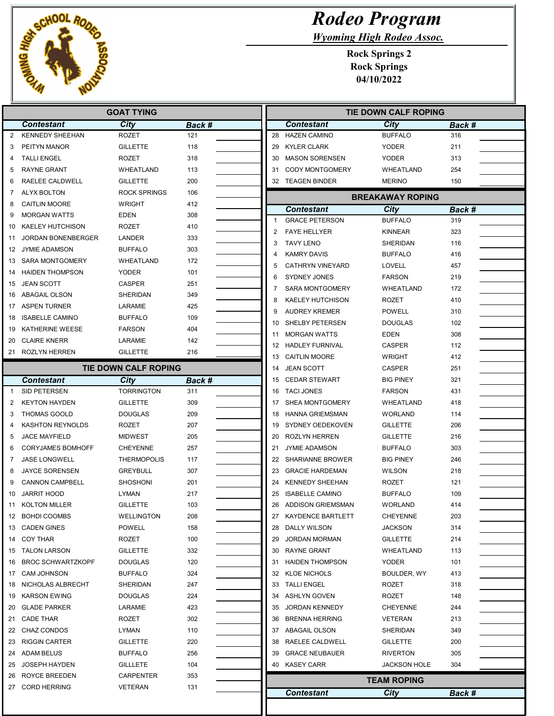

Ī Г

## Rodeo Program

Wyoming High Rodeo Assoc.

| City<br><b>Contestant</b><br><b>Contestant</b><br>City<br>Back #<br><b>KENNEDY SHEEHAN</b><br><b>HAZEN CAMINO</b><br><b>BUFFALO</b><br>$\overline{2}$<br>ROZET<br>28<br>121<br>PEITYN MANOR<br><b>GILLETTE</b><br>118<br><b>KYLER CLARK</b><br><b>YODER</b><br>3<br>29<br><b>TALLI ENGEL</b><br><b>ROZET</b><br>318<br>30<br><b>MASON SORENSEN</b><br><b>YODER</b><br>4<br><b>RAYNE GRANT</b><br><b>WHEATLAND</b><br><b>CODY MONTGOMERY</b><br>WHEATLAND<br>5<br>113<br>31<br>RAELEE CALDWELL<br><b>GILLETTE</b><br>200<br>32 TEAGEN BINDER<br><b>MERINO</b><br>6<br><b>ROCK SPRINGS</b><br>ALYX BOLTON<br>106<br>7<br><b>BREAKAWAY ROPING</b><br><b>CAITLIN MOORE</b><br><b>WRIGHT</b><br>412<br>8<br><b>Contestant</b><br>City<br><b>EDEN</b><br>308<br>9<br><b>MORGAN WATTS</b><br><b>GRACE PETERSON</b><br><b>BUFFALO</b><br>$\mathbf{1}$<br><b>KAELEY HUTCHISON</b><br><b>ROZET</b><br>410<br>10<br>$\overline{2}$<br><b>FAYE HELLYER</b><br><b>KINNEAR</b><br>JORDAN BONENBERGER<br>LANDER<br>333<br>11<br>3<br><b>TAVY LENO</b><br>SHERIDAN<br>JYMIE ADAMSON<br><b>BUFFALO</b><br>303<br>12<br><b>KAMRY DAVIS</b><br><b>BUFFALO</b><br>4<br><b>SARA MONTGOMERY</b><br>WHEATLAND<br>172<br>13<br>5<br><b>CATHRYN VINEYARD</b><br>LOVELL<br><b>HAIDEN THOMPSON</b><br><b>YODER</b><br>101<br>14<br>SYDNEY JONES<br><b>FARSON</b><br>6<br><b>JEAN SCOTT</b><br>CASPER<br>251<br>15<br><b>SARA MONTGOMERY</b><br>WHEATLAND<br>7<br><b>ABAGAIL OLSON</b><br>SHERIDAN<br>349<br>16<br><b>KAELEY HUTCHISON</b><br><b>ROZET</b><br>8<br>17 ASPEN TURNER<br>LARAMIE<br>425<br><b>AUDREY KREMER</b><br><b>POWELL</b><br>9<br><b>ISABELLE CAMINO</b><br><b>BUFFALO</b><br>109<br>18<br>SHELBY PETERSEN<br><b>DOUGLAS</b><br>10<br>KATHERINE WEESE<br><b>FARSON</b><br>404<br>19<br><b>MORGAN WATTS</b><br><b>EDEN</b><br>11<br>142<br><b>CLAIRE KNERR</b><br>LARAMIE<br>20<br><b>HADLEY FURNIVAL</b><br>12<br><b>CASPER</b><br>216<br>21 ROZLYN HERREN<br><b>GILLETTE</b><br>13<br><b>CAITLIN MOORE</b><br><b>WRIGHT</b><br><b>TIE DOWN CALF ROPING</b><br>14<br><b>JEAN SCOTT</b><br>CASPER<br><b>CEDAR STEWART</b><br><b>BIG PINEY</b><br><b>Contestant</b><br>City<br>Back #<br>15<br><b>TORRINGTON</b><br>SID PETERSEN<br>311<br><b>TACI JONES</b><br><b>FARSON</b><br>16<br>-1<br><b>KEYTON HAYDEN</b><br><b>GILLETTE</b><br>309<br>SHEA MONTGOMERY<br>2<br>WHEATLAND<br>17<br><b>THOMAS GOOLD</b><br><b>HANNA GRIEMSMAN</b><br><b>WORLAND</b><br>DOUGLAS<br>209<br>18<br>3<br><b>KASHTON REYNOLDS</b><br><b>ROZET</b><br>207<br>SYDNEY OEDEKOVEN<br><b>GILLETTE</b><br>19<br>4<br><b>JACE MAYFIELD</b><br><b>MIDWEST</b><br>205<br>20<br><b>ROZLYN HERREN</b><br><b>GILLETTE</b><br>5<br><b>CORYJAMES BOMHOFF</b><br><b>CHEYENNE</b><br>257<br>21<br><b>JYMIE ADAMSON</b><br><b>BUFFALO</b><br>6<br><b>JASE LONGWELL</b><br><b>THERMOPOLIS</b><br>117<br><b>SHARIANNE BROWER</b><br><b>BIG PINEY</b><br>7<br>22<br><b>JAYCE SORENSEN</b><br>307<br><b>GRACIE HARDEMAN</b><br>8<br>GREYBULL<br>23<br><b>WILSON</b><br><b>CANNON CAMPBELL</b><br>201<br><b>KENNEDY SHEEHAN</b><br>9<br>SHOSHONI<br>24<br>ROZET | Back #<br>316<br>211<br>313<br>254<br>150<br>Back #<br>319<br>323<br>116<br>416<br>457<br>219<br>172<br>410<br>310<br>102 |
|----------------------------------------------------------------------------------------------------------------------------------------------------------------------------------------------------------------------------------------------------------------------------------------------------------------------------------------------------------------------------------------------------------------------------------------------------------------------------------------------------------------------------------------------------------------------------------------------------------------------------------------------------------------------------------------------------------------------------------------------------------------------------------------------------------------------------------------------------------------------------------------------------------------------------------------------------------------------------------------------------------------------------------------------------------------------------------------------------------------------------------------------------------------------------------------------------------------------------------------------------------------------------------------------------------------------------------------------------------------------------------------------------------------------------------------------------------------------------------------------------------------------------------------------------------------------------------------------------------------------------------------------------------------------------------------------------------------------------------------------------------------------------------------------------------------------------------------------------------------------------------------------------------------------------------------------------------------------------------------------------------------------------------------------------------------------------------------------------------------------------------------------------------------------------------------------------------------------------------------------------------------------------------------------------------------------------------------------------------------------------------------------------------------------------------------------------------------------------------------------------------------------------------------------------------------------------------------------------------------------------------------------------------------------------------------------------------------------------------------------------------------------------------------------------------------------------------------------------------------------------------------------------------------------------------------------------------------------------------------------------------------------------------------------------------------------------------------------------------------|---------------------------------------------------------------------------------------------------------------------------|
|                                                                                                                                                                                                                                                                                                                                                                                                                                                                                                                                                                                                                                                                                                                                                                                                                                                                                                                                                                                                                                                                                                                                                                                                                                                                                                                                                                                                                                                                                                                                                                                                                                                                                                                                                                                                                                                                                                                                                                                                                                                                                                                                                                                                                                                                                                                                                                                                                                                                                                                                                                                                                                                                                                                                                                                                                                                                                                                                                                                                                                                                                                                |                                                                                                                           |
|                                                                                                                                                                                                                                                                                                                                                                                                                                                                                                                                                                                                                                                                                                                                                                                                                                                                                                                                                                                                                                                                                                                                                                                                                                                                                                                                                                                                                                                                                                                                                                                                                                                                                                                                                                                                                                                                                                                                                                                                                                                                                                                                                                                                                                                                                                                                                                                                                                                                                                                                                                                                                                                                                                                                                                                                                                                                                                                                                                                                                                                                                                                |                                                                                                                           |
|                                                                                                                                                                                                                                                                                                                                                                                                                                                                                                                                                                                                                                                                                                                                                                                                                                                                                                                                                                                                                                                                                                                                                                                                                                                                                                                                                                                                                                                                                                                                                                                                                                                                                                                                                                                                                                                                                                                                                                                                                                                                                                                                                                                                                                                                                                                                                                                                                                                                                                                                                                                                                                                                                                                                                                                                                                                                                                                                                                                                                                                                                                                |                                                                                                                           |
|                                                                                                                                                                                                                                                                                                                                                                                                                                                                                                                                                                                                                                                                                                                                                                                                                                                                                                                                                                                                                                                                                                                                                                                                                                                                                                                                                                                                                                                                                                                                                                                                                                                                                                                                                                                                                                                                                                                                                                                                                                                                                                                                                                                                                                                                                                                                                                                                                                                                                                                                                                                                                                                                                                                                                                                                                                                                                                                                                                                                                                                                                                                |                                                                                                                           |
|                                                                                                                                                                                                                                                                                                                                                                                                                                                                                                                                                                                                                                                                                                                                                                                                                                                                                                                                                                                                                                                                                                                                                                                                                                                                                                                                                                                                                                                                                                                                                                                                                                                                                                                                                                                                                                                                                                                                                                                                                                                                                                                                                                                                                                                                                                                                                                                                                                                                                                                                                                                                                                                                                                                                                                                                                                                                                                                                                                                                                                                                                                                |                                                                                                                           |
|                                                                                                                                                                                                                                                                                                                                                                                                                                                                                                                                                                                                                                                                                                                                                                                                                                                                                                                                                                                                                                                                                                                                                                                                                                                                                                                                                                                                                                                                                                                                                                                                                                                                                                                                                                                                                                                                                                                                                                                                                                                                                                                                                                                                                                                                                                                                                                                                                                                                                                                                                                                                                                                                                                                                                                                                                                                                                                                                                                                                                                                                                                                |                                                                                                                           |
|                                                                                                                                                                                                                                                                                                                                                                                                                                                                                                                                                                                                                                                                                                                                                                                                                                                                                                                                                                                                                                                                                                                                                                                                                                                                                                                                                                                                                                                                                                                                                                                                                                                                                                                                                                                                                                                                                                                                                                                                                                                                                                                                                                                                                                                                                                                                                                                                                                                                                                                                                                                                                                                                                                                                                                                                                                                                                                                                                                                                                                                                                                                |                                                                                                                           |
|                                                                                                                                                                                                                                                                                                                                                                                                                                                                                                                                                                                                                                                                                                                                                                                                                                                                                                                                                                                                                                                                                                                                                                                                                                                                                                                                                                                                                                                                                                                                                                                                                                                                                                                                                                                                                                                                                                                                                                                                                                                                                                                                                                                                                                                                                                                                                                                                                                                                                                                                                                                                                                                                                                                                                                                                                                                                                                                                                                                                                                                                                                                |                                                                                                                           |
|                                                                                                                                                                                                                                                                                                                                                                                                                                                                                                                                                                                                                                                                                                                                                                                                                                                                                                                                                                                                                                                                                                                                                                                                                                                                                                                                                                                                                                                                                                                                                                                                                                                                                                                                                                                                                                                                                                                                                                                                                                                                                                                                                                                                                                                                                                                                                                                                                                                                                                                                                                                                                                                                                                                                                                                                                                                                                                                                                                                                                                                                                                                |                                                                                                                           |
|                                                                                                                                                                                                                                                                                                                                                                                                                                                                                                                                                                                                                                                                                                                                                                                                                                                                                                                                                                                                                                                                                                                                                                                                                                                                                                                                                                                                                                                                                                                                                                                                                                                                                                                                                                                                                                                                                                                                                                                                                                                                                                                                                                                                                                                                                                                                                                                                                                                                                                                                                                                                                                                                                                                                                                                                                                                                                                                                                                                                                                                                                                                |                                                                                                                           |
|                                                                                                                                                                                                                                                                                                                                                                                                                                                                                                                                                                                                                                                                                                                                                                                                                                                                                                                                                                                                                                                                                                                                                                                                                                                                                                                                                                                                                                                                                                                                                                                                                                                                                                                                                                                                                                                                                                                                                                                                                                                                                                                                                                                                                                                                                                                                                                                                                                                                                                                                                                                                                                                                                                                                                                                                                                                                                                                                                                                                                                                                                                                |                                                                                                                           |
|                                                                                                                                                                                                                                                                                                                                                                                                                                                                                                                                                                                                                                                                                                                                                                                                                                                                                                                                                                                                                                                                                                                                                                                                                                                                                                                                                                                                                                                                                                                                                                                                                                                                                                                                                                                                                                                                                                                                                                                                                                                                                                                                                                                                                                                                                                                                                                                                                                                                                                                                                                                                                                                                                                                                                                                                                                                                                                                                                                                                                                                                                                                |                                                                                                                           |
|                                                                                                                                                                                                                                                                                                                                                                                                                                                                                                                                                                                                                                                                                                                                                                                                                                                                                                                                                                                                                                                                                                                                                                                                                                                                                                                                                                                                                                                                                                                                                                                                                                                                                                                                                                                                                                                                                                                                                                                                                                                                                                                                                                                                                                                                                                                                                                                                                                                                                                                                                                                                                                                                                                                                                                                                                                                                                                                                                                                                                                                                                                                |                                                                                                                           |
|                                                                                                                                                                                                                                                                                                                                                                                                                                                                                                                                                                                                                                                                                                                                                                                                                                                                                                                                                                                                                                                                                                                                                                                                                                                                                                                                                                                                                                                                                                                                                                                                                                                                                                                                                                                                                                                                                                                                                                                                                                                                                                                                                                                                                                                                                                                                                                                                                                                                                                                                                                                                                                                                                                                                                                                                                                                                                                                                                                                                                                                                                                                |                                                                                                                           |
|                                                                                                                                                                                                                                                                                                                                                                                                                                                                                                                                                                                                                                                                                                                                                                                                                                                                                                                                                                                                                                                                                                                                                                                                                                                                                                                                                                                                                                                                                                                                                                                                                                                                                                                                                                                                                                                                                                                                                                                                                                                                                                                                                                                                                                                                                                                                                                                                                                                                                                                                                                                                                                                                                                                                                                                                                                                                                                                                                                                                                                                                                                                |                                                                                                                           |
|                                                                                                                                                                                                                                                                                                                                                                                                                                                                                                                                                                                                                                                                                                                                                                                                                                                                                                                                                                                                                                                                                                                                                                                                                                                                                                                                                                                                                                                                                                                                                                                                                                                                                                                                                                                                                                                                                                                                                                                                                                                                                                                                                                                                                                                                                                                                                                                                                                                                                                                                                                                                                                                                                                                                                                                                                                                                                                                                                                                                                                                                                                                |                                                                                                                           |
|                                                                                                                                                                                                                                                                                                                                                                                                                                                                                                                                                                                                                                                                                                                                                                                                                                                                                                                                                                                                                                                                                                                                                                                                                                                                                                                                                                                                                                                                                                                                                                                                                                                                                                                                                                                                                                                                                                                                                                                                                                                                                                                                                                                                                                                                                                                                                                                                                                                                                                                                                                                                                                                                                                                                                                                                                                                                                                                                                                                                                                                                                                                |                                                                                                                           |
|                                                                                                                                                                                                                                                                                                                                                                                                                                                                                                                                                                                                                                                                                                                                                                                                                                                                                                                                                                                                                                                                                                                                                                                                                                                                                                                                                                                                                                                                                                                                                                                                                                                                                                                                                                                                                                                                                                                                                                                                                                                                                                                                                                                                                                                                                                                                                                                                                                                                                                                                                                                                                                                                                                                                                                                                                                                                                                                                                                                                                                                                                                                |                                                                                                                           |
|                                                                                                                                                                                                                                                                                                                                                                                                                                                                                                                                                                                                                                                                                                                                                                                                                                                                                                                                                                                                                                                                                                                                                                                                                                                                                                                                                                                                                                                                                                                                                                                                                                                                                                                                                                                                                                                                                                                                                                                                                                                                                                                                                                                                                                                                                                                                                                                                                                                                                                                                                                                                                                                                                                                                                                                                                                                                                                                                                                                                                                                                                                                | 308                                                                                                                       |
|                                                                                                                                                                                                                                                                                                                                                                                                                                                                                                                                                                                                                                                                                                                                                                                                                                                                                                                                                                                                                                                                                                                                                                                                                                                                                                                                                                                                                                                                                                                                                                                                                                                                                                                                                                                                                                                                                                                                                                                                                                                                                                                                                                                                                                                                                                                                                                                                                                                                                                                                                                                                                                                                                                                                                                                                                                                                                                                                                                                                                                                                                                                | 112                                                                                                                       |
|                                                                                                                                                                                                                                                                                                                                                                                                                                                                                                                                                                                                                                                                                                                                                                                                                                                                                                                                                                                                                                                                                                                                                                                                                                                                                                                                                                                                                                                                                                                                                                                                                                                                                                                                                                                                                                                                                                                                                                                                                                                                                                                                                                                                                                                                                                                                                                                                                                                                                                                                                                                                                                                                                                                                                                                                                                                                                                                                                                                                                                                                                                                | 412                                                                                                                       |
|                                                                                                                                                                                                                                                                                                                                                                                                                                                                                                                                                                                                                                                                                                                                                                                                                                                                                                                                                                                                                                                                                                                                                                                                                                                                                                                                                                                                                                                                                                                                                                                                                                                                                                                                                                                                                                                                                                                                                                                                                                                                                                                                                                                                                                                                                                                                                                                                                                                                                                                                                                                                                                                                                                                                                                                                                                                                                                                                                                                                                                                                                                                | 251                                                                                                                       |
|                                                                                                                                                                                                                                                                                                                                                                                                                                                                                                                                                                                                                                                                                                                                                                                                                                                                                                                                                                                                                                                                                                                                                                                                                                                                                                                                                                                                                                                                                                                                                                                                                                                                                                                                                                                                                                                                                                                                                                                                                                                                                                                                                                                                                                                                                                                                                                                                                                                                                                                                                                                                                                                                                                                                                                                                                                                                                                                                                                                                                                                                                                                | 321                                                                                                                       |
|                                                                                                                                                                                                                                                                                                                                                                                                                                                                                                                                                                                                                                                                                                                                                                                                                                                                                                                                                                                                                                                                                                                                                                                                                                                                                                                                                                                                                                                                                                                                                                                                                                                                                                                                                                                                                                                                                                                                                                                                                                                                                                                                                                                                                                                                                                                                                                                                                                                                                                                                                                                                                                                                                                                                                                                                                                                                                                                                                                                                                                                                                                                | 431                                                                                                                       |
|                                                                                                                                                                                                                                                                                                                                                                                                                                                                                                                                                                                                                                                                                                                                                                                                                                                                                                                                                                                                                                                                                                                                                                                                                                                                                                                                                                                                                                                                                                                                                                                                                                                                                                                                                                                                                                                                                                                                                                                                                                                                                                                                                                                                                                                                                                                                                                                                                                                                                                                                                                                                                                                                                                                                                                                                                                                                                                                                                                                                                                                                                                                | 418                                                                                                                       |
|                                                                                                                                                                                                                                                                                                                                                                                                                                                                                                                                                                                                                                                                                                                                                                                                                                                                                                                                                                                                                                                                                                                                                                                                                                                                                                                                                                                                                                                                                                                                                                                                                                                                                                                                                                                                                                                                                                                                                                                                                                                                                                                                                                                                                                                                                                                                                                                                                                                                                                                                                                                                                                                                                                                                                                                                                                                                                                                                                                                                                                                                                                                | 114                                                                                                                       |
|                                                                                                                                                                                                                                                                                                                                                                                                                                                                                                                                                                                                                                                                                                                                                                                                                                                                                                                                                                                                                                                                                                                                                                                                                                                                                                                                                                                                                                                                                                                                                                                                                                                                                                                                                                                                                                                                                                                                                                                                                                                                                                                                                                                                                                                                                                                                                                                                                                                                                                                                                                                                                                                                                                                                                                                                                                                                                                                                                                                                                                                                                                                | 206                                                                                                                       |
|                                                                                                                                                                                                                                                                                                                                                                                                                                                                                                                                                                                                                                                                                                                                                                                                                                                                                                                                                                                                                                                                                                                                                                                                                                                                                                                                                                                                                                                                                                                                                                                                                                                                                                                                                                                                                                                                                                                                                                                                                                                                                                                                                                                                                                                                                                                                                                                                                                                                                                                                                                                                                                                                                                                                                                                                                                                                                                                                                                                                                                                                                                                | 216                                                                                                                       |
|                                                                                                                                                                                                                                                                                                                                                                                                                                                                                                                                                                                                                                                                                                                                                                                                                                                                                                                                                                                                                                                                                                                                                                                                                                                                                                                                                                                                                                                                                                                                                                                                                                                                                                                                                                                                                                                                                                                                                                                                                                                                                                                                                                                                                                                                                                                                                                                                                                                                                                                                                                                                                                                                                                                                                                                                                                                                                                                                                                                                                                                                                                                | 303                                                                                                                       |
|                                                                                                                                                                                                                                                                                                                                                                                                                                                                                                                                                                                                                                                                                                                                                                                                                                                                                                                                                                                                                                                                                                                                                                                                                                                                                                                                                                                                                                                                                                                                                                                                                                                                                                                                                                                                                                                                                                                                                                                                                                                                                                                                                                                                                                                                                                                                                                                                                                                                                                                                                                                                                                                                                                                                                                                                                                                                                                                                                                                                                                                                                                                | 246                                                                                                                       |
|                                                                                                                                                                                                                                                                                                                                                                                                                                                                                                                                                                                                                                                                                                                                                                                                                                                                                                                                                                                                                                                                                                                                                                                                                                                                                                                                                                                                                                                                                                                                                                                                                                                                                                                                                                                                                                                                                                                                                                                                                                                                                                                                                                                                                                                                                                                                                                                                                                                                                                                                                                                                                                                                                                                                                                                                                                                                                                                                                                                                                                                                                                                | 218                                                                                                                       |
|                                                                                                                                                                                                                                                                                                                                                                                                                                                                                                                                                                                                                                                                                                                                                                                                                                                                                                                                                                                                                                                                                                                                                                                                                                                                                                                                                                                                                                                                                                                                                                                                                                                                                                                                                                                                                                                                                                                                                                                                                                                                                                                                                                                                                                                                                                                                                                                                                                                                                                                                                                                                                                                                                                                                                                                                                                                                                                                                                                                                                                                                                                                | 121                                                                                                                       |
| <b>ISABELLE CAMINO</b><br><b>JARRIT HOOD</b><br>217<br>25<br><b>BUFFALO</b><br>LYMAN<br>10                                                                                                                                                                                                                                                                                                                                                                                                                                                                                                                                                                                                                                                                                                                                                                                                                                                                                                                                                                                                                                                                                                                                                                                                                                                                                                                                                                                                                                                                                                                                                                                                                                                                                                                                                                                                                                                                                                                                                                                                                                                                                                                                                                                                                                                                                                                                                                                                                                                                                                                                                                                                                                                                                                                                                                                                                                                                                                                                                                                                                     | 109                                                                                                                       |
| 11 KOLTON MILLER<br><b>GILLETTE</b><br>103<br>26<br>ADDISON GRIEMSMAN<br><b>WORLAND</b>                                                                                                                                                                                                                                                                                                                                                                                                                                                                                                                                                                                                                                                                                                                                                                                                                                                                                                                                                                                                                                                                                                                                                                                                                                                                                                                                                                                                                                                                                                                                                                                                                                                                                                                                                                                                                                                                                                                                                                                                                                                                                                                                                                                                                                                                                                                                                                                                                                                                                                                                                                                                                                                                                                                                                                                                                                                                                                                                                                                                                        | 414                                                                                                                       |
| 12 BOHDI COOMBS<br><b>WELLINGTON</b><br>208<br>27<br><b>KAYDENCE BARTLETT</b><br><b>CHEYENNE</b>                                                                                                                                                                                                                                                                                                                                                                                                                                                                                                                                                                                                                                                                                                                                                                                                                                                                                                                                                                                                                                                                                                                                                                                                                                                                                                                                                                                                                                                                                                                                                                                                                                                                                                                                                                                                                                                                                                                                                                                                                                                                                                                                                                                                                                                                                                                                                                                                                                                                                                                                                                                                                                                                                                                                                                                                                                                                                                                                                                                                               | 203                                                                                                                       |
| POWELL<br>28 DALLY WILSON<br>13 CADEN GINES<br>158<br><b>JACKSON</b>                                                                                                                                                                                                                                                                                                                                                                                                                                                                                                                                                                                                                                                                                                                                                                                                                                                                                                                                                                                                                                                                                                                                                                                                                                                                                                                                                                                                                                                                                                                                                                                                                                                                                                                                                                                                                                                                                                                                                                                                                                                                                                                                                                                                                                                                                                                                                                                                                                                                                                                                                                                                                                                                                                                                                                                                                                                                                                                                                                                                                                           | 314                                                                                                                       |
| 14 COY THAR<br>ROZET<br><b>JORDAN MORMAN</b><br><b>GILLETTE</b><br>100<br>29                                                                                                                                                                                                                                                                                                                                                                                                                                                                                                                                                                                                                                                                                                                                                                                                                                                                                                                                                                                                                                                                                                                                                                                                                                                                                                                                                                                                                                                                                                                                                                                                                                                                                                                                                                                                                                                                                                                                                                                                                                                                                                                                                                                                                                                                                                                                                                                                                                                                                                                                                                                                                                                                                                                                                                                                                                                                                                                                                                                                                                   | 214                                                                                                                       |
| TALON LARSON<br>332<br><b>RAYNE GRANT</b><br><b>GILLETTE</b><br>30<br>WHEATLAND<br>15                                                                                                                                                                                                                                                                                                                                                                                                                                                                                                                                                                                                                                                                                                                                                                                                                                                                                                                                                                                                                                                                                                                                                                                                                                                                                                                                                                                                                                                                                                                                                                                                                                                                                                                                                                                                                                                                                                                                                                                                                                                                                                                                                                                                                                                                                                                                                                                                                                                                                                                                                                                                                                                                                                                                                                                                                                                                                                                                                                                                                          | 113                                                                                                                       |
| <b>BROC SCHWARTZKOPF</b><br>31 HAIDEN THOMPSON<br>YODER<br><b>DOUGLAS</b><br>120<br>16                                                                                                                                                                                                                                                                                                                                                                                                                                                                                                                                                                                                                                                                                                                                                                                                                                                                                                                                                                                                                                                                                                                                                                                                                                                                                                                                                                                                                                                                                                                                                                                                                                                                                                                                                                                                                                                                                                                                                                                                                                                                                                                                                                                                                                                                                                                                                                                                                                                                                                                                                                                                                                                                                                                                                                                                                                                                                                                                                                                                                         | 101                                                                                                                       |
| 324<br>BOULDER, WY<br><b>CAM JOHNSON</b><br><b>BUFFALO</b><br>32<br><b>KLOE NICHOLS</b><br>17                                                                                                                                                                                                                                                                                                                                                                                                                                                                                                                                                                                                                                                                                                                                                                                                                                                                                                                                                                                                                                                                                                                                                                                                                                                                                                                                                                                                                                                                                                                                                                                                                                                                                                                                                                                                                                                                                                                                                                                                                                                                                                                                                                                                                                                                                                                                                                                                                                                                                                                                                                                                                                                                                                                                                                                                                                                                                                                                                                                                                  | 413                                                                                                                       |
| 33 TALLI ENGEL<br>NICHOLAS ALBRECHT<br>SHERIDAN<br>247<br>ROZET<br>18                                                                                                                                                                                                                                                                                                                                                                                                                                                                                                                                                                                                                                                                                                                                                                                                                                                                                                                                                                                                                                                                                                                                                                                                                                                                                                                                                                                                                                                                                                                                                                                                                                                                                                                                                                                                                                                                                                                                                                                                                                                                                                                                                                                                                                                                                                                                                                                                                                                                                                                                                                                                                                                                                                                                                                                                                                                                                                                                                                                                                                          | 318                                                                                                                       |
| KARSON EWING<br><b>DOUGLAS</b><br>224<br>34<br>ASHLYN GOVEN<br><b>ROZET</b><br>19                                                                                                                                                                                                                                                                                                                                                                                                                                                                                                                                                                                                                                                                                                                                                                                                                                                                                                                                                                                                                                                                                                                                                                                                                                                                                                                                                                                                                                                                                                                                                                                                                                                                                                                                                                                                                                                                                                                                                                                                                                                                                                                                                                                                                                                                                                                                                                                                                                                                                                                                                                                                                                                                                                                                                                                                                                                                                                                                                                                                                              | 148                                                                                                                       |
| 423<br><b>GLADE PARKER</b><br>LARAMIE<br>35<br><b>JORDAN KENNEDY</b><br><b>CHEYENNE</b><br>20                                                                                                                                                                                                                                                                                                                                                                                                                                                                                                                                                                                                                                                                                                                                                                                                                                                                                                                                                                                                                                                                                                                                                                                                                                                                                                                                                                                                                                                                                                                                                                                                                                                                                                                                                                                                                                                                                                                                                                                                                                                                                                                                                                                                                                                                                                                                                                                                                                                                                                                                                                                                                                                                                                                                                                                                                                                                                                                                                                                                                  | 244                                                                                                                       |
| <b>CADE THAR</b><br>ROZET<br><b>BRENNA HERRING</b><br>302<br>36<br><b>VETERAN</b><br>21                                                                                                                                                                                                                                                                                                                                                                                                                                                                                                                                                                                                                                                                                                                                                                                                                                                                                                                                                                                                                                                                                                                                                                                                                                                                                                                                                                                                                                                                                                                                                                                                                                                                                                                                                                                                                                                                                                                                                                                                                                                                                                                                                                                                                                                                                                                                                                                                                                                                                                                                                                                                                                                                                                                                                                                                                                                                                                                                                                                                                        | 213                                                                                                                       |
| <b>CHAZ CONDOS</b><br>LYMAN<br>22<br>110<br>37<br>ABAGAIL OLSON<br>SHERIDAN                                                                                                                                                                                                                                                                                                                                                                                                                                                                                                                                                                                                                                                                                                                                                                                                                                                                                                                                                                                                                                                                                                                                                                                                                                                                                                                                                                                                                                                                                                                                                                                                                                                                                                                                                                                                                                                                                                                                                                                                                                                                                                                                                                                                                                                                                                                                                                                                                                                                                                                                                                                                                                                                                                                                                                                                                                                                                                                                                                                                                                    | 349                                                                                                                       |
| RAELEE CALDWELL<br>23 RIGGIN CARTER<br>GILLETTE<br>220<br><b>GILLETTE</b><br>38                                                                                                                                                                                                                                                                                                                                                                                                                                                                                                                                                                                                                                                                                                                                                                                                                                                                                                                                                                                                                                                                                                                                                                                                                                                                                                                                                                                                                                                                                                                                                                                                                                                                                                                                                                                                                                                                                                                                                                                                                                                                                                                                                                                                                                                                                                                                                                                                                                                                                                                                                                                                                                                                                                                                                                                                                                                                                                                                                                                                                                | 200                                                                                                                       |
| ADAM BELUS<br><b>GRACE NEUBAUER</b><br>BUFFALO<br>256<br><b>RIVERTON</b><br>39<br>24                                                                                                                                                                                                                                                                                                                                                                                                                                                                                                                                                                                                                                                                                                                                                                                                                                                                                                                                                                                                                                                                                                                                                                                                                                                                                                                                                                                                                                                                                                                                                                                                                                                                                                                                                                                                                                                                                                                                                                                                                                                                                                                                                                                                                                                                                                                                                                                                                                                                                                                                                                                                                                                                                                                                                                                                                                                                                                                                                                                                                           | 305                                                                                                                       |
| JOSEPH HAYDEN<br>40 KASEY CARR<br>GILLLETE<br>104<br><b>JACKSON HOLE</b><br>25                                                                                                                                                                                                                                                                                                                                                                                                                                                                                                                                                                                                                                                                                                                                                                                                                                                                                                                                                                                                                                                                                                                                                                                                                                                                                                                                                                                                                                                                                                                                                                                                                                                                                                                                                                                                                                                                                                                                                                                                                                                                                                                                                                                                                                                                                                                                                                                                                                                                                                                                                                                                                                                                                                                                                                                                                                                                                                                                                                                                                                 | 304                                                                                                                       |
| ROYCE BREEDEN<br>CARPENTER<br>353<br>26                                                                                                                                                                                                                                                                                                                                                                                                                                                                                                                                                                                                                                                                                                                                                                                                                                                                                                                                                                                                                                                                                                                                                                                                                                                                                                                                                                                                                                                                                                                                                                                                                                                                                                                                                                                                                                                                                                                                                                                                                                                                                                                                                                                                                                                                                                                                                                                                                                                                                                                                                                                                                                                                                                                                                                                                                                                                                                                                                                                                                                                                        |                                                                                                                           |
| TEAM ROPING<br>27 CORD HERRING<br><b>VETERAN</b><br>131                                                                                                                                                                                                                                                                                                                                                                                                                                                                                                                                                                                                                                                                                                                                                                                                                                                                                                                                                                                                                                                                                                                                                                                                                                                                                                                                                                                                                                                                                                                                                                                                                                                                                                                                                                                                                                                                                                                                                                                                                                                                                                                                                                                                                                                                                                                                                                                                                                                                                                                                                                                                                                                                                                                                                                                                                                                                                                                                                                                                                                                        |                                                                                                                           |
| <b>Contestant</b><br>City                                                                                                                                                                                                                                                                                                                                                                                                                                                                                                                                                                                                                                                                                                                                                                                                                                                                                                                                                                                                                                                                                                                                                                                                                                                                                                                                                                                                                                                                                                                                                                                                                                                                                                                                                                                                                                                                                                                                                                                                                                                                                                                                                                                                                                                                                                                                                                                                                                                                                                                                                                                                                                                                                                                                                                                                                                                                                                                                                                                                                                                                                      | Back #                                                                                                                    |
|                                                                                                                                                                                                                                                                                                                                                                                                                                                                                                                                                                                                                                                                                                                                                                                                                                                                                                                                                                                                                                                                                                                                                                                                                                                                                                                                                                                                                                                                                                                                                                                                                                                                                                                                                                                                                                                                                                                                                                                                                                                                                                                                                                                                                                                                                                                                                                                                                                                                                                                                                                                                                                                                                                                                                                                                                                                                                                                                                                                                                                                                                                                |                                                                                                                           |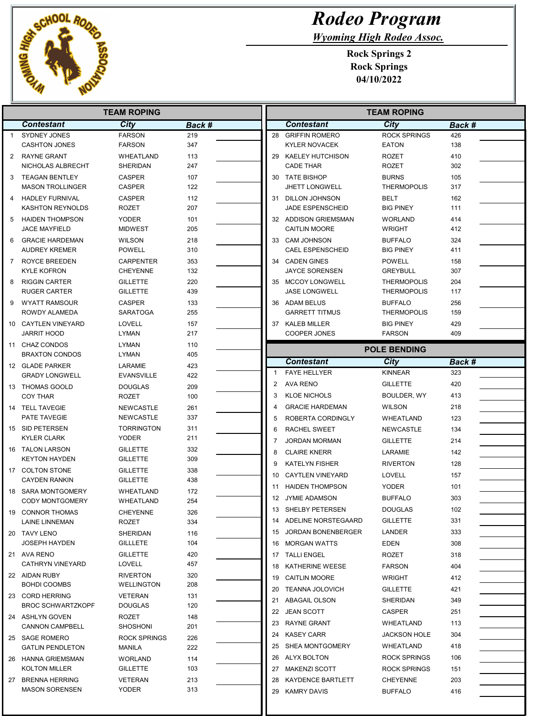

## Rodeo Program

Wyoming High Rodeo Assoc.

| <b>TEAM ROPING</b> |                                                |                                |            | <b>TEAM ROPING</b> |                     |                                              |                                    |            |
|--------------------|------------------------------------------------|--------------------------------|------------|--------------------|---------------------|----------------------------------------------|------------------------------------|------------|
|                    | <b>Contestant</b>                              | City                           | Back #     |                    |                     | <b>Contestant</b>                            | <b>City</b>                        | Back #     |
| $\mathbf{1}$       | SYDNEY JONES                                   | <b>FARSON</b>                  | 219        |                    |                     | 28 GRIFFIN ROMERO                            | <b>ROCK SPRINGS</b>                | 426        |
|                    | <b>CASHTON JONES</b>                           | <b>FARSON</b>                  | 347        |                    |                     | <b>KYLER NOVACEK</b>                         | <b>EATON</b>                       | 138        |
| 2                  | <b>RAYNE GRANT</b>                             | WHEATLAND                      | 113        |                    |                     | 29 KAELEY HUTCHISON                          | <b>ROZET</b>                       | 410        |
|                    | NICHOLAS ALBRECHT                              | SHERIDAN                       | 247        |                    |                     | <b>CADE THAR</b>                             | <b>ROZET</b>                       | 302        |
| 3                  | <b>TEAGAN BENTLEY</b>                          | <b>CASPER</b>                  | 107        |                    |                     | 30 TATE BISHOP                               | <b>BURNS</b>                       | 105        |
|                    | <b>MASON TROLLINGER</b>                        | CASPER                         | 122        |                    |                     | <b>JHETT LONGWELL</b>                        | <b>THERMOPOLIS</b>                 | 317        |
| 4                  | <b>HADLEY FURNIVAL</b>                         | <b>CASPER</b>                  | 112        |                    |                     | 31 DILLON JOHNSON                            | <b>BELT</b>                        | 162        |
|                    | KASHTON REYNOLDS                               | <b>ROZET</b>                   | 207        |                    |                     | JADE ESPENSCHEID                             | <b>BIG PINEY</b>                   | 111        |
| 5                  | <b>HAIDEN THOMPSON</b><br><b>JACE MAYFIELD</b> | YODER<br>MIDWEST               | 101<br>205 |                    |                     | 32 ADDISON GRIEMSMAN<br><b>CAITLIN MOORE</b> | <b>WORLAND</b><br><b>WRIGHT</b>    | 414<br>412 |
|                    |                                                | <b>WILSON</b>                  | 218        |                    |                     | 33 CAM JOHNSON                               |                                    | 324        |
| 6                  | <b>GRACIE HARDEMAN</b><br><b>AUDREY KREMER</b> | <b>POWELL</b>                  | 310        |                    |                     | <b>CAEL ESPENSCHEID</b>                      | <b>BUFFALO</b><br><b>BIG PINEY</b> | 411        |
| $\overline{7}$     | <b>ROYCE BREEDEN</b>                           | <b>CARPENTER</b>               | 353        |                    | 34                  | <b>CADEN GINES</b>                           | <b>POWELL</b>                      | 158        |
|                    | KYLE KOFRON                                    | <b>CHEYENNE</b>                | 132        |                    |                     | <b>JAYCE SORENSEN</b>                        | <b>GREYBULL</b>                    | 307        |
| 8                  | <b>RIGGIN CARTER</b>                           | <b>GILLETTE</b>                | 220        |                    | 35                  | <b>MCCOY LONGWELL</b>                        | <b>THERMOPOLIS</b>                 | 204        |
|                    | <b>RUGER CARTER</b>                            | <b>GILLETTE</b>                | 439        |                    |                     | <b>JASE LONGWELL</b>                         | <b>THERMOPOLIS</b>                 | 117        |
| 9                  | <b>WYATT RAMSOUR</b>                           | <b>CASPER</b>                  | 133        |                    | 36                  | ADAM BELUS                                   | <b>BUFFALO</b>                     | 256        |
|                    | ROWDY ALAMEDA                                  | <b>SARATOGA</b>                | 255        |                    |                     | <b>GARRETT TITMUS</b>                        | <b>THERMOPOLIS</b>                 | 159        |
| 10                 | <b>CAYTLEN VINEYARD</b>                        | LOVELL                         | 157        |                    |                     | 37 KALEB MILLER                              | <b>BIG PINEY</b>                   | 429        |
|                    | <b>JARRIT HOOD</b>                             | LYMAN                          | 217        |                    |                     | COOPER JONES                                 | <b>FARSON</b>                      | 409        |
| 11                 | <b>CHAZ CONDOS</b>                             | LYMAN                          | 110        |                    | <b>POLE BENDING</b> |                                              |                                    |            |
|                    | <b>BRAXTON CONDOS</b>                          | LYMAN                          | 405        |                    |                     | <b>Contestant</b>                            | City                               | Back #     |
|                    | 12 GLADE PARKER<br><b>GRADY LONGWELL</b>       | LARAMIE<br><b>EVANSVILLE</b>   | 423        |                    | 1                   | <b>FAYE HELLYER</b>                          | <b>KINNEAR</b>                     | 323        |
|                    | 13 THOMAS GOOLD                                |                                | 422        |                    | $\overline{2}$      | <b>AVA RENO</b>                              | <b>GILLETTE</b>                    | 420        |
|                    | <b>COY THAR</b>                                | <b>DOUGLAS</b><br><b>ROZET</b> | 209<br>100 |                    | 3                   | <b>KLOE NICHOLS</b>                          | BOULDER, WY                        | 413        |
|                    | 14 TELL TAVEGIE                                | NEWCASTLE                      | 261        |                    | 4                   | <b>GRACIE HARDEMAN</b>                       | <b>WILSON</b>                      | 218        |
|                    | PATE TAVEGIE                                   | NEWCASTLE                      | 337        |                    | 5                   | ROBERTA CORDINGLY                            | <b>WHEATLAND</b>                   | 123        |
|                    | 15 SID PETERSEN                                | <b>TORRINGTON</b>              | 311        |                    | 6                   | RACHEL SWEET                                 | NEWCASTLE                          | 134        |
|                    | KYLER CLARK                                    | <b>YODER</b>                   | 211        |                    | 7                   | <b>JORDAN MORMAN</b>                         | <b>GILLETTE</b>                    | 214        |
|                    | 16 TALON LARSON                                | <b>GILLETTE</b>                | 332        |                    | 8                   | <b>CLAIRE KNERR</b>                          | LARAMIE                            | 142        |
|                    | <b>KEYTON HAYDEN</b>                           | <b>GILLETTE</b>                | 309        |                    | 9                   | <b>KATELYN FISHER</b>                        | <b>RIVERTON</b>                    | 128        |
|                    | 17 COLTON STONE                                | <b>GILLETTE</b>                | 338        |                    | 10                  | <b>CAYTLEN VINEYARD</b>                      | <b>LOVELL</b>                      | 157        |
|                    | <b>CAYDEN RANKIN</b>                           | <b>GILLETTE</b>                | 438        |                    | 11                  | <b>HAIDEN THOMPSON</b>                       | <b>YODER</b>                       | 101        |
| 18                 | SARA MONTGOMERY                                | WHEATLAND                      | 172        |                    | 12                  | JYMIE ADAMSON                                | <b>BUFFALO</b>                     | 303        |
|                    | <b>CODY MONTGOMERY</b>                         | WHEATLAND                      | 254        |                    | 13                  | SHELBY PETERSEN                              | <b>DOUGLAS</b>                     | 102        |
| 19                 | <b>CONNOR THOMAS</b>                           | CHEYENNE                       | 326        |                    |                     | 14 ADELINE NORSTEGAARD                       | <b>GILLETTE</b>                    | 331        |
|                    | LAINE LINNEMAN                                 | ROZET                          | 334        |                    |                     |                                              |                                    |            |
|                    | 20 TAVY LENO<br><b>JOSEPH HAYDEN</b>           | SHERIDAN<br><b>GILLLETE</b>    | 116<br>104 |                    |                     | 15 JORDAN BONENBERGER<br>16 MORGAN WATTS     | LANDER                             | 333<br>308 |
|                    | 21 AVA RENO                                    | <b>GILLETTE</b>                | 420        |                    |                     |                                              | <b>EDEN</b>                        |            |
|                    | <b>CATHRYN VINEYARD</b>                        | LOVELL                         | 457        |                    |                     | 17 TALLI ENGEL                               | ROZET                              | 318        |
|                    | 22 AIDAN RUBY                                  | <b>RIVERTON</b>                | 320        |                    |                     | 18 KATHERINE WEESE                           | <b>FARSON</b>                      | 404        |
|                    | <b>BOHDI COOMBS</b>                            | <b>WELLINGTON</b>              | 208        |                    |                     | 19 CAITLIN MOORE                             | WRIGHT                             | 412        |
|                    | 23 CORD HERRING                                | VETERAN                        | 131        |                    | 20                  | <b>TEANNA JOLOVICH</b>                       | <b>GILLETTE</b>                    | 421        |
|                    | <b>BROC SCHWARTZKOPF</b>                       | <b>DOUGLAS</b>                 | 120        |                    |                     | 21 ABAGAIL OLSON                             | SHERIDAN                           | 349        |
|                    | 24 ASHLYN GOVEN                                | ROZET                          | 148        |                    |                     | 22 JEAN SCOTT                                | CASPER                             | 251        |
|                    | <b>CANNON CAMPBELL</b>                         | SHOSHONI                       | 201        |                    |                     | 23 RAYNE GRANT                               | WHEATLAND                          | 113        |
|                    | 25 SAGE ROMERO                                 | <b>ROCK SPRINGS</b>            | 226        |                    |                     | 24 KASEY CARR                                | <b>JACKSON HOLE</b>                | 304        |
|                    | <b>GATLIN PENDLETON</b>                        | MANILA                         | 222        |                    |                     | 25 SHEA MONTGOMERY                           | WHEATLAND                          | 418        |
|                    | 26 HANNA GRIEMSMAN                             | WORLAND                        | 114        |                    |                     | 26 ALYX BOLTON                               | <b>ROCK SPRINGS</b>                | 106        |
|                    | KOLTON MILLER                                  | GILLETTE                       | 103        |                    |                     | 27 MAKENZI SCOTT                             | ROCK SPRINGS                       | 151        |
|                    | 27 BRENNA HERRING                              | <b>VETERAN</b>                 | 213        |                    |                     | 28 KAYDENCE BARTLETT                         | <b>CHEYENNE</b>                    | 203        |
|                    | <b>MASON SORENSEN</b>                          | YODER                          | 313        |                    |                     | 29 KAMRY DAVIS                               | <b>BUFFALO</b>                     | 416        |
|                    |                                                |                                |            |                    |                     |                                              |                                    |            |